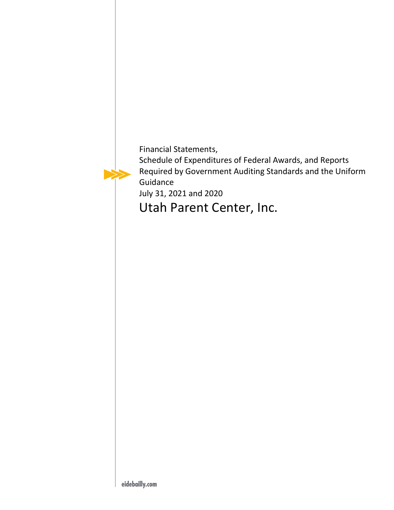Financial Statements,

Schedule of Expenditures of Federal Awards, and Reports Required by Government Auditing Standards and the Uniform Guidance

July 31, 2021 and 2020

Utah Parent Center, Inc.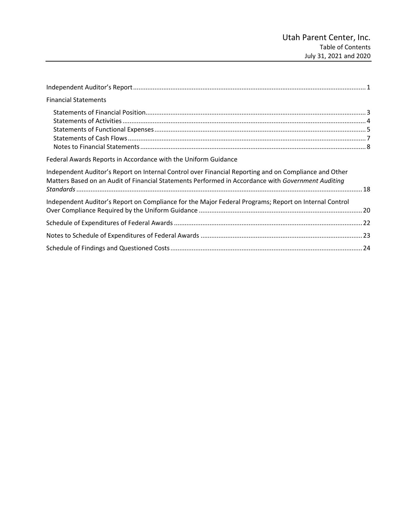| <b>Financial Statements</b>                                                                                                                                                                                 |  |
|-------------------------------------------------------------------------------------------------------------------------------------------------------------------------------------------------------------|--|
|                                                                                                                                                                                                             |  |
| Federal Awards Reports in Accordance with the Uniform Guidance                                                                                                                                              |  |
| Independent Auditor's Report on Internal Control over Financial Reporting and on Compliance and Other<br>Matters Based on an Audit of Financial Statements Performed in Accordance with Government Auditing |  |
| Independent Auditor's Report on Compliance for the Major Federal Programs; Report on Internal Control                                                                                                       |  |
|                                                                                                                                                                                                             |  |
|                                                                                                                                                                                                             |  |
|                                                                                                                                                                                                             |  |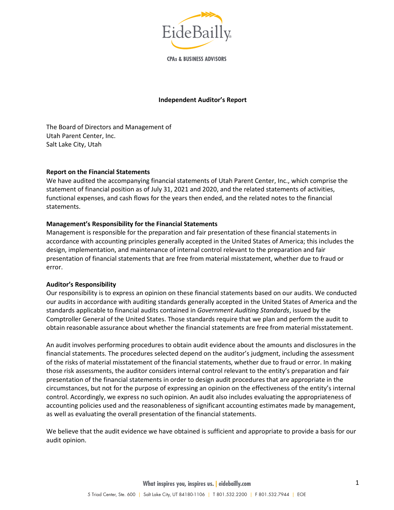

**CPAs & BUSINESS ADVISORS** 

#### **Independent Auditor's Report**

<span id="page-2-0"></span>The Board of Directors and Management of Utah Parent Center, Inc. Salt Lake City, Utah

#### **Report on the Financial Statements**

We have audited the accompanying financial statements of Utah Parent Center, Inc., which comprise the statement of financial position as of July 31, 2021 and 2020, and the related statements of activities, functional expenses, and cash flows for the years then ended, and the related notes to the financial statements.

### **Management's Responsibility for the Financial Statements**

Management is responsible for the preparation and fair presentation of these financial statements in accordance with accounting principles generally accepted in the United States of America; this includes the design, implementation, and maintenance of internal control relevant to the preparation and fair presentation of financial statements that are free from material misstatement, whether due to fraud or error.

### **Auditor's Responsibility**

Our responsibility is to express an opinion on these financial statements based on our audits. We conducted our audits in accordance with auditing standards generally accepted in the United States of America and the standards applicable to financial audits contained in *Government Auditing Standards*, issued by the Comptroller General of the United States. Those standards require that we plan and perform the audit to obtain reasonable assurance about whether the financial statements are free from material misstatement.

An audit involves performing procedures to obtain audit evidence about the amounts and disclosures in the financial statements. The procedures selected depend on the auditor's judgment, including the assessment of the risks of material misstatement of the financial statements, whether due to fraud or error. In making those risk assessments, the auditor considers internal control relevant to the entity's preparation and fair presentation of the financial statements in order to design audit procedures that are appropriate in the circumstances, but not for the purpose of expressing an opinion on the effectiveness of the entity's internal control. Accordingly, we express no such opinion. An audit also includes evaluating the appropriateness of accounting policies used and the reasonableness of significant accounting estimates made by management, as well as evaluating the overall presentation of the financial statements.

We believe that the audit evidence we have obtained is sufficient and appropriate to provide a basis for our audit opinion.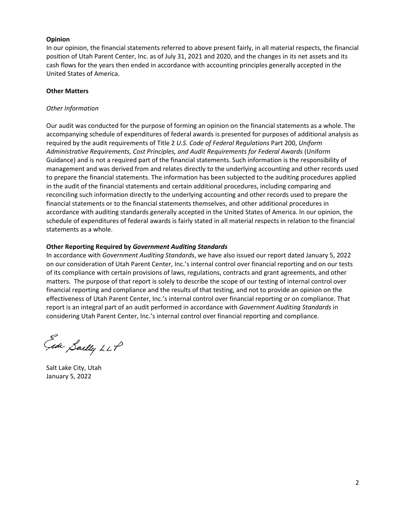### **Opinion**

In our opinion, the financial statements referred to above present fairly, in all material respects, the financial position of Utah Parent Center, Inc. as of July 31, 2021 and 2020, and the changes in its net assets and its cash flows for the years then ended in accordance with accounting principles generally accepted in the United States of America.

### **Other Matters**

#### *Other Information*

Our audit was conducted for the purpose of forming an opinion on the financial statements as a whole. The accompanying schedule of expenditures of federal awards is presented for purposes of additional analysis as required by the audit requirements of Title 2 *U.S. Code of Federal Regulations* Part 200, *Uniform Administrative Requirements, Cost Principles, and Audit Requirements for Federal Awards* (Uniform Guidance) and is not a required part of the financial statements. Such information is the responsibility of management and was derived from and relates directly to the underlying accounting and other records used to prepare the financial statements. The information has been subjected to the auditing procedures applied in the audit of the financial statements and certain additional procedures, including comparing and reconciling such information directly to the underlying accounting and other records used to prepare the financial statements or to the financial statements themselves, and other additional procedures in accordance with auditing standards generally accepted in the United States of America. In our opinion, the schedule of expenditures of federal awards is fairly stated in all material respects in relation to the financial statements as a whole.

#### **Other Reporting Required by** *Government Auditing Standards*

In accordance with *Government Auditing Standards*, we have also issued our report dated January 5, 2022 on our consideration of Utah Parent Center, Inc.'s internal control over financial reporting and on our tests of its compliance with certain provisions of laws, regulations, contracts and grant agreements, and other matters. The purpose of that report is solely to describe the scope of our testing of internal control over financial reporting and compliance and the results of that testing, and not to provide an opinion on the effectiveness of Utah Parent Center, Inc.'s internal control over financial reporting or on compliance. That report is an integral part of an audit performed in accordance with *Government Auditing Standards* in considering Utah Parent Center, Inc.'s internal control over financial reporting and compliance.

Ede Sailly LLP

Salt Lake City, Utah January 5, 2022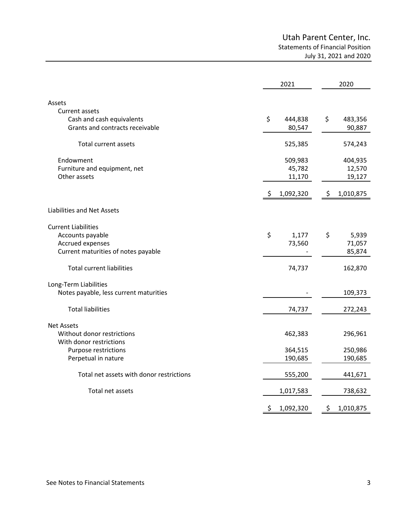<span id="page-4-1"></span><span id="page-4-0"></span>

|                                          | 2021            | 2020            |
|------------------------------------------|-----------------|-----------------|
| Assets                                   |                 |                 |
| Current assets                           |                 |                 |
| Cash and cash equivalents                | \$<br>444,838   | \$<br>483,356   |
| Grants and contracts receivable          | 80,547          | 90,887          |
| <b>Total current assets</b>              | 525,385         | 574,243         |
| Endowment                                | 509,983         | 404,935         |
| Furniture and equipment, net             | 45,782          | 12,570          |
| Other assets                             | 11,170          | 19,127          |
|                                          | 1,092,320<br>\$ | 1,010,875<br>\$ |
| <b>Liabilities and Net Assets</b>        |                 |                 |
| <b>Current Liabilities</b>               |                 |                 |
| Accounts payable                         | \$<br>1,177     | \$<br>5,939     |
| Accrued expenses                         | 73,560          | 71,057          |
| Current maturities of notes payable      |                 | 85,874          |
| <b>Total current liabilities</b>         | 74,737          | 162,870         |
| Long-Term Liabilities                    |                 |                 |
| Notes payable, less current maturities   |                 | 109,373         |
| <b>Total liabilities</b>                 | 74,737          | 272,243         |
| <b>Net Assets</b>                        |                 |                 |
| Without donor restrictions               | 462,383         | 296,961         |
| With donor restrictions                  |                 |                 |
| <b>Purpose restrictions</b>              | 364,515         | 250,986         |
| Perpetual in nature                      | 190,685         | 190,685         |
| Total net assets with donor restrictions | 555,200         | 441,671         |
| Total net assets                         | 1,017,583       | 738,632         |
|                                          | \$<br>1,092,320 | \$<br>1,010,875 |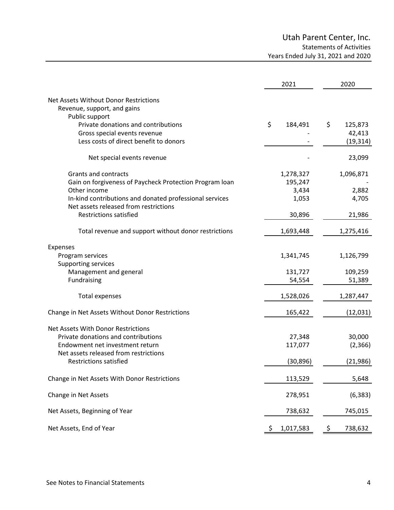# Utah Parent Center, Inc. Statements of Activities Years Ended July 31, 2021 and 2020

<span id="page-5-0"></span>

|                                                         | 2021          | 2020          |
|---------------------------------------------------------|---------------|---------------|
| Net Assets Without Donor Restrictions                   |               |               |
| Revenue, support, and gains<br>Public support           |               |               |
| Private donations and contributions                     | \$<br>184,491 | \$<br>125,873 |
| Gross special events revenue                            |               | 42,413        |
| Less costs of direct benefit to donors                  |               | (19, 314)     |
|                                                         |               |               |
| Net special events revenue                              |               | 23,099        |
| Grants and contracts                                    | 1,278,327     | 1,096,871     |
| Gain on forgiveness of Paycheck Protection Program loan | 195,247       |               |
| Other income                                            | 3,434         | 2,882         |
| In-kind contributions and donated professional services | 1,053         | 4,705         |
| Net assets released from restrictions                   |               |               |
| <b>Restrictions satisfied</b>                           | 30,896        | 21,986        |
| Total revenue and support without donor restrictions    | 1,693,448     | 1,275,416     |
| Expenses                                                |               |               |
| Program services                                        | 1,341,745     | 1,126,799     |
| <b>Supporting services</b>                              |               |               |
| Management and general                                  | 131,727       | 109,259       |
| Fundraising                                             | 54,554        | 51,389        |
| <b>Total expenses</b>                                   | 1,528,026     | 1,287,447     |
|                                                         |               |               |
| Change in Net Assets Without Donor Restrictions         | 165,422       | (12, 031)     |
| Net Assets With Donor Restrictions                      |               |               |
| Private donations and contributions                     | 27,348        | 30,000        |
| Endowment net investment return                         | 117,077       | (2,366)       |
| Net assets released from restrictions                   |               |               |
| Restrictions satisfied                                  | (30, 896)     | (21, 986)     |
| Change in Net Assets With Donor Restrictions            | 113,529       | 5,648         |
| Change in Net Assets                                    | 278,951       | (6, 383)      |
| Net Assets, Beginning of Year                           | 738,632       | 745,015       |
| Net Assets, End of Year                                 | 1,017,583     | 738,632       |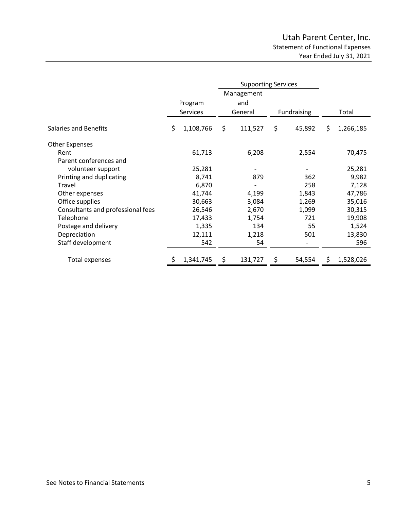<span id="page-6-0"></span>

|                                   |                 |    | <b>Supporting Services</b> |              |    |           |
|-----------------------------------|-----------------|----|----------------------------|--------------|----|-----------|
|                                   |                 |    | Management                 |              |    |           |
|                                   | Program         |    | and                        |              |    |           |
|                                   | <b>Services</b> |    | General                    | Fundraising  |    | Total     |
| <b>Salaries and Benefits</b>      | \$<br>1,108,766 | \$ | 111,527                    | \$<br>45,892 | \$ | 1,266,185 |
| <b>Other Expenses</b>             |                 |    |                            |              |    |           |
| Rent                              | 61,713          |    | 6,208                      | 2,554        |    | 70,475    |
| Parent conferences and            |                 |    |                            |              |    |           |
| volunteer support                 | 25,281          |    |                            |              |    | 25,281    |
| Printing and duplicating          | 8,741           |    | 879                        | 362          |    | 9,982     |
| Travel                            | 6,870           |    |                            | 258          |    | 7,128     |
| Other expenses                    | 41,744          |    | 4,199                      | 1,843        |    | 47,786    |
| Office supplies                   | 30,663          |    | 3,084                      | 1,269        |    | 35,016    |
| Consultants and professional fees | 26,546          |    | 2,670                      | 1,099        |    | 30,315    |
| Telephone                         | 17,433          |    | 1,754                      | 721          |    | 19,908    |
| Postage and delivery              | 1,335           |    | 134                        | 55           |    | 1,524     |
| Depreciation                      | 12,111          |    | 1,218                      | 501          |    | 13,830    |
| Staff development                 | 542             |    | 54                         | -            |    | 596       |
| Total expenses                    | 1,341,745       | Ş  | 131,727                    | \$<br>54,554 | S  | 1,528,026 |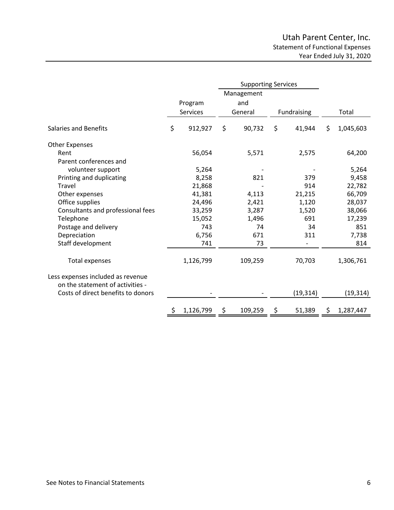|                                                                       |               | <b>Supporting Services</b> |              |                 |
|-----------------------------------------------------------------------|---------------|----------------------------|--------------|-----------------|
|                                                                       |               | Management                 |              |                 |
|                                                                       | Program       | and                        |              |                 |
|                                                                       | Services      | General                    | Fundraising  | Total           |
| <b>Salaries and Benefits</b>                                          | \$<br>912,927 | \$<br>90,732               | \$<br>41,944 | \$<br>1,045,603 |
| <b>Other Expenses</b>                                                 |               |                            |              |                 |
| Rent                                                                  | 56,054        | 5,571                      | 2,575        | 64,200          |
| Parent conferences and                                                |               |                            |              |                 |
| volunteer support                                                     | 5,264         |                            |              | 5,264           |
| Printing and duplicating                                              | 8,258         | 821                        | 379          | 9,458           |
| Travel                                                                | 21,868        |                            | 914          | 22,782          |
| Other expenses                                                        | 41,381        | 4,113                      | 21,215       | 66,709          |
| Office supplies                                                       | 24,496        | 2,421                      | 1,120        | 28,037          |
| Consultants and professional fees                                     | 33,259        | 3,287                      | 1,520        | 38,066          |
| Telephone                                                             | 15,052        | 1,496                      | 691          | 17,239          |
| Postage and delivery                                                  | 743           | 74                         | 34           | 851             |
| Depreciation                                                          | 6,756         | 671                        | 311          | 7,738           |
| Staff development                                                     | 741           | 73                         |              | 814             |
| Total expenses                                                        | 1,126,799     | 109,259                    | 70,703       | 1,306,761       |
| Less expenses included as revenue<br>on the statement of activities - |               |                            |              |                 |
| Costs of direct benefits to donors                                    |               |                            | (19, 314)    | (19, 314)       |
|                                                                       | 1,126,799     | 109,259                    | 51,389       | \$<br>1,287,447 |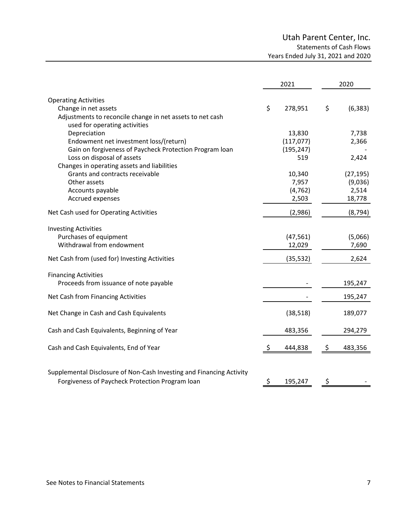# Utah Parent Center, Inc. Statements of Cash Flows Years Ended July 31, 2021 and 2020

<span id="page-8-0"></span>

|                                                                                                                         | 2021          | 2020           |
|-------------------------------------------------------------------------------------------------------------------------|---------------|----------------|
| <b>Operating Activities</b>                                                                                             |               |                |
| Change in net assets                                                                                                    | \$<br>278,951 | \$<br>(6, 383) |
| Adjustments to reconcile change in net assets to net cash                                                               |               |                |
| used for operating activities                                                                                           |               |                |
| Depreciation                                                                                                            | 13,830        | 7,738          |
| Endowment net investment loss/(return)                                                                                  | (117, 077)    | 2,366          |
| Gain on forgiveness of Paycheck Protection Program loan                                                                 | (195, 247)    |                |
| Loss on disposal of assets                                                                                              | 519           | 2,424          |
| Changes in operating assets and liabilities                                                                             |               |                |
| Grants and contracts receivable                                                                                         | 10,340        | (27, 195)      |
| Other assets                                                                                                            | 7,957         | (9,036)        |
| Accounts payable                                                                                                        | (4, 762)      | 2,514          |
| Accrued expenses                                                                                                        | 2,503         | 18,778         |
| Net Cash used for Operating Activities                                                                                  | (2,986)       | (8, 794)       |
| <b>Investing Activities</b>                                                                                             |               |                |
| Purchases of equipment                                                                                                  | (47, 561)     | (5,066)        |
| Withdrawal from endowment                                                                                               | 12,029        | 7,690          |
| Net Cash from (used for) Investing Activities                                                                           | (35, 532)     | 2,624          |
| <b>Financing Activities</b>                                                                                             |               |                |
| Proceeds from issuance of note payable                                                                                  |               | 195,247        |
| Net Cash from Financing Activities                                                                                      |               | 195,247        |
| Net Change in Cash and Cash Equivalents                                                                                 | (38, 518)     | 189,077        |
| Cash and Cash Equivalents, Beginning of Year                                                                            | 483,356       | 294,279        |
| Cash and Cash Equivalents, End of Year                                                                                  | 444,838       | \$<br>483,356  |
| Supplemental Disclosure of Non-Cash Investing and Financing Activity<br>Forgiveness of Paycheck Protection Program loan | \$<br>195,247 | \$             |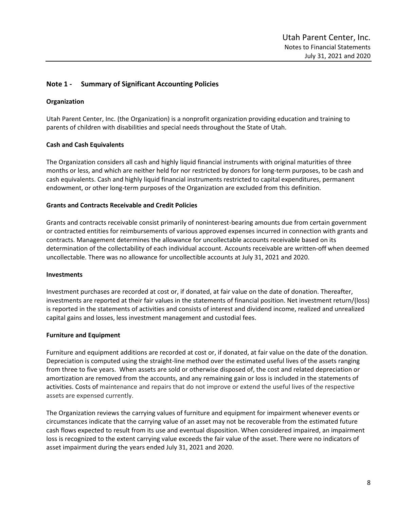### <span id="page-9-0"></span>**Note 1 - Summary of Significant Accounting Policies**

### **Organization**

Utah Parent Center, Inc. (the Organization) is a nonprofit organization providing education and training to parents of children with disabilities and special needs throughout the State of Utah.

### **Cash and Cash Equivalents**

The Organization considers all cash and highly liquid financial instruments with original maturities of three months or less, and which are neither held for nor restricted by donors for long-term purposes, to be cash and cash equivalents. Cash and highly liquid financial instruments restricted to capital expenditures, permanent endowment, or other long-term purposes of the Organization are excluded from this definition.

### **Grants and Contracts Receivable and Credit Policies**

Grants and contracts receivable consist primarily of noninterest-bearing amounts due from certain government or contracted entities for reimbursements of various approved expenses incurred in connection with grants and contracts. Management determines the allowance for uncollectable accounts receivable based on its determination of the collectability of each individual account. Accounts receivable are written-off when deemed uncollectable. There was no allowance for uncollectible accounts at July 31, 2021 and 2020.

### **Investments**

Investment purchases are recorded at cost or, if donated, at fair value on the date of donation. Thereafter, investments are reported at their fair values in the statements of financial position. Net investment return/(loss) is reported in the statements of activities and consists of interest and dividend income, realized and unrealized capital gains and losses, less investment management and custodial fees.

### **Furniture and Equipment**

Furniture and equipment additions are recorded at cost or, if donated, at fair value on the date of the donation. Depreciation is computed using the straight-line method over the estimated useful lives of the assets ranging from three to five years. When assets are sold or otherwise disposed of, the cost and related depreciation or amortization are removed from the accounts, and any remaining gain or loss is included in the statements of activities. Costs of maintenance and repairs that do not improve or extend the useful lives of the respective assets are expensed currently.

The Organization reviews the carrying values of furniture and equipment for impairment whenever events or circumstances indicate that the carrying value of an asset may not be recoverable from the estimated future cash flows expected to result from its use and eventual disposition. When considered impaired, an impairment loss is recognized to the extent carrying value exceeds the fair value of the asset. There were no indicators of asset impairment during the years ended July 31, 2021 and 2020.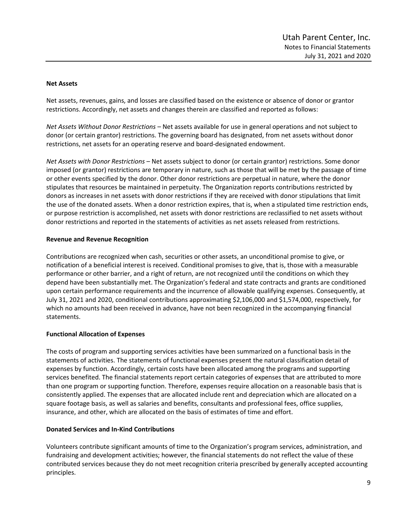### **Net Assets**

Net assets, revenues, gains, and losses are classified based on the existence or absence of donor or grantor restrictions. Accordingly, net assets and changes therein are classified and reported as follows:

*Net Assets Without Donor Restrictions* – Net assets available for use in general operations and not subject to donor (or certain grantor) restrictions. The governing board has designated, from net assets without donor restrictions, net assets for an operating reserve and board‐designated endowment.

*Net Assets with Donor Restrictions* – Net assets subject to donor (or certain grantor) restrictions. Some donor imposed (or grantor) restrictions are temporary in nature, such as those that will be met by the passage of time or other events specified by the donor. Other donor restrictions are perpetual in nature, where the donor stipulates that resources be maintained in perpetuity. The Organization reports contributions restricted by donors as increases in net assets with donor restrictions if they are received with donor stipulations that limit the use of the donated assets. When a donor restriction expires, that is, when a stipulated time restriction ends, or purpose restriction is accomplished, net assets with donor restrictions are reclassified to net assets without donor restrictions and reported in the statements of activities as net assets released from restrictions.

#### **Revenue and Revenue Recognition**

Contributions are recognized when cash, securities or other assets, an unconditional promise to give, or notification of a beneficial interest is received. Conditional promises to give, that is, those with a measurable performance or other barrier, and a right of return, are not recognized until the conditions on which they depend have been substantially met. The Organization's federal and state contracts and grants are conditioned upon certain performance requirements and the incurrence of allowable qualifying expenses. Consequently, at July 31, 2021 and 2020, conditional contributions approximating \$2,106,000 and \$1,574,000, respectively, for which no amounts had been received in advance, have not been recognized in the accompanying financial statements.

### **Functional Allocation of Expenses**

The costs of program and supporting services activities have been summarized on a functional basis in the statements of activities. The statements of functional expenses present the natural classification detail of expenses by function. Accordingly, certain costs have been allocated among the programs and supporting services benefited. The financial statements report certain categories of expenses that are attributed to more than one program or supporting function. Therefore, expenses require allocation on a reasonable basis that is consistently applied. The expenses that are allocated include rent and depreciation which are allocated on a square footage basis, as well as salaries and benefits, consultants and professional fees, office supplies, insurance, and other, which are allocated on the basis of estimates of time and effort.

### **Donated Services and In-Kind Contributions**

Volunteers contribute significant amounts of time to the Organization's program services, administration, and fundraising and development activities; however, the financial statements do not reflect the value of these contributed services because they do not meet recognition criteria prescribed by generally accepted accounting principles.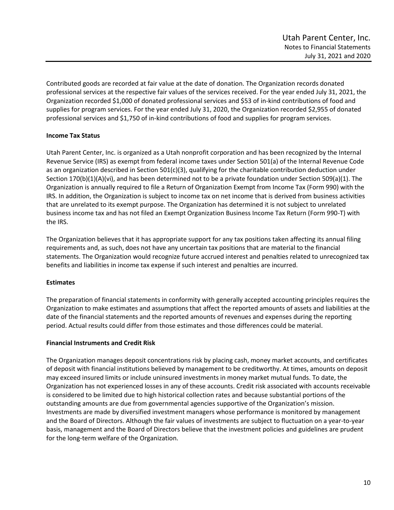Contributed goods are recorded at fair value at the date of donation. The Organization records donated professional services at the respective fair values of the services received. For the year ended July 31, 2021, the Organization recorded \$1,000 of donated professional services and \$53 of in-kind contributions of food and supplies for program services. For the year ended July 31, 2020, the Organization recorded \$2,955 of donated professional services and \$1,750 of in-kind contributions of food and supplies for program services.

# **Income Tax Status**

Utah Parent Center, Inc. is organized as a Utah nonprofit corporation and has been recognized by the Internal Revenue Service (IRS) as exempt from federal income taxes under Section 501(a) of the Internal Revenue Code as an organization described in Section 501(c)(3), qualifying for the charitable contribution deduction under Section 170(b)(1)(A)(vi), and has been determined not to be a private foundation under Section 509(a)(1). The Organization is annually required to file a Return of Organization Exempt from Income Tax (Form 990) with the IRS. In addition, the Organization is subject to income tax on net income that is derived from business activities that are unrelated to its exempt purpose. The Organization has determined it is not subject to unrelated business income tax and has not filed an Exempt Organization Business Income Tax Return (Form 990-T) with the IRS.

The Organization believes that it has appropriate support for any tax positions taken affecting its annual filing requirements and, as such, does not have any uncertain tax positions that are material to the financial statements. The Organization would recognize future accrued interest and penalties related to unrecognized tax benefits and liabilities in income tax expense if such interest and penalties are incurred.

# **Estimates**

The preparation of financial statements in conformity with generally accepted accounting principles requires the Organization to make estimates and assumptions that affect the reported amounts of assets and liabilities at the date of the financial statements and the reported amounts of revenues and expenses during the reporting period. Actual results could differ from those estimates and those differences could be material.

### **Financial Instruments and Credit Risk**

The Organization manages deposit concentrations risk by placing cash, money market accounts, and certificates of deposit with financial institutions believed by management to be creditworthy. At times, amounts on deposit may exceed insured limits or include uninsured investments in money market mutual funds. To date, the Organization has not experienced losses in any of these accounts. Credit risk associated with accounts receivable is considered to be limited due to high historical collection rates and because substantial portions of the outstanding amounts are due from governmental agencies supportive of the Organization's mission. Investments are made by diversified investment managers whose performance is monitored by management and the Board of Directors. Although the fair values of investments are subject to fluctuation on a year-to-year basis, management and the Board of Directors believe that the investment policies and guidelines are prudent for the long-term welfare of the Organization.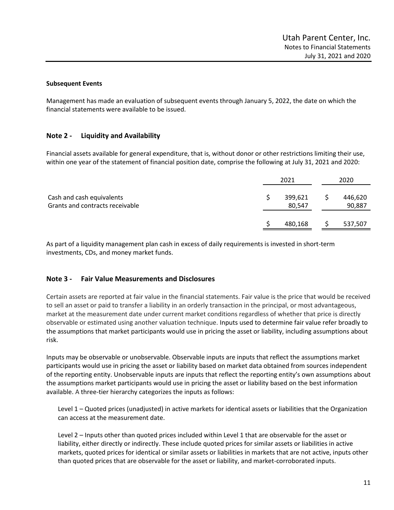### **Subsequent Events**

Management has made an evaluation of subsequent events through January 5, 2022, the date on which the financial statements were available to be issued.

# **Note 2 - Liquidity and Availability**

Financial assets available for general expenditure, that is, without donor or other restrictions limiting their use, within one year of the statement of financial position date, comprise the following at July 31, 2021 and 2020:

|                                                              | 2021              | 2020              |  |
|--------------------------------------------------------------|-------------------|-------------------|--|
| Cash and cash equivalents<br>Grants and contracts receivable | 399,621<br>80,547 | 446,620<br>90,887 |  |
|                                                              | 480,168           | 537,507           |  |

As part of a liquidity management plan cash in excess of daily requirements is invested in short-term investments, CDs, and money market funds.

# **Note 3 - Fair Value Measurements and Disclosures**

Certain assets are reported at fair value in the financial statements. Fair value is the price that would be received to sell an asset or paid to transfer a liability in an orderly transaction in the principal, or most advantageous, market at the measurement date under current market conditions regardless of whether that price is directly observable or estimated using another valuation technique. Inputs used to determine fair value refer broadly to the assumptions that market participants would use in pricing the asset or liability, including assumptions about risk.

Inputs may be observable or unobservable. Observable inputs are inputs that reflect the assumptions market participants would use in pricing the asset or liability based on market data obtained from sources independent of the reporting entity. Unobservable inputs are inputs that reflect the reporting entity's own assumptions about the assumptions market participants would use in pricing the asset or liability based on the best information available. A three-tier hierarchy categorizes the inputs as follows:

Level 1 – Quoted prices (unadjusted) in active markets for identical assets or liabilities that the Organization can access at the measurement date.

Level 2 – Inputs other than quoted prices included within Level 1 that are observable for the asset or liability, either directly or indirectly. These include quoted prices for similar assets or liabilities in active markets, quoted prices for identical or similar assets or liabilities in markets that are not active, inputs other than quoted prices that are observable for the asset or liability, and market-corroborated inputs.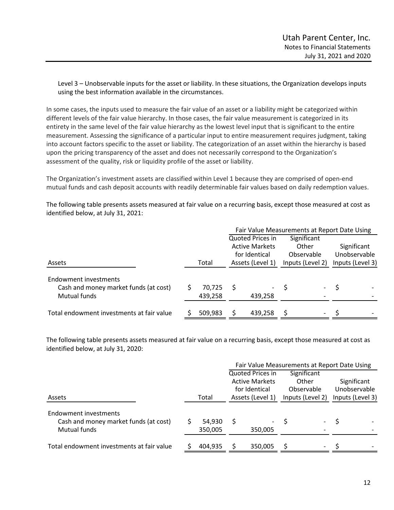| Level 3 – Unobservable inputs for the asset or liability. In these situations, the Organization develops inputs<br>In some cases, the inputs used to measure the fair value of an asset or a liability might be categorized within<br>different levels of the fair value hierarchy. In those cases, the fair value measurement is categorized in its<br>entirety in the same level of the fair value hierarchy as the lowest level input that is significant to the entire<br>measurement. Assessing the significance of a particular input to entire measurement requires judgment, taking<br>into account factors specific to the asset or liability. The categorization of an asset within the hierarchy is based<br>upon the pricing transparency of the asset and does not necessarily correspond to the Organization's<br>assessment of the quality, risk or liquidity profile of the asset or liability.<br>The Organization's investment assets are classified within Level 1 because they are comprised of open-end<br>mutual funds and cash deposit accounts with readily determinable fair values based on daily redemption values.<br>The following table presents assets measured at fair value on a recurring basis, except those measured at cost as<br>Fair Value Measurements at Report Date Using<br>Quoted Prices in<br>Significant<br>Other<br>Significant<br><b>Active Markets</b><br>Observable<br>Unobservable<br>for Identical<br>Assets (Level 1)<br>Inputs (Level 2)<br>Inputs (Level 3)<br>\$<br>439,258<br>439,258<br>Ş |
|-----------------------------------------------------------------------------------------------------------------------------------------------------------------------------------------------------------------------------------------------------------------------------------------------------------------------------------------------------------------------------------------------------------------------------------------------------------------------------------------------------------------------------------------------------------------------------------------------------------------------------------------------------------------------------------------------------------------------------------------------------------------------------------------------------------------------------------------------------------------------------------------------------------------------------------------------------------------------------------------------------------------------------------------------------------------------------------------------------------------------------------------------------------------------------------------------------------------------------------------------------------------------------------------------------------------------------------------------------------------------------------------------------------------------------------------------------------------------------------------------------------------------------------------------------|
|                                                                                                                                                                                                                                                                                                                                                                                                                                                                                                                                                                                                                                                                                                                                                                                                                                                                                                                                                                                                                                                                                                                                                                                                                                                                                                                                                                                                                                                                                                                                                     |
|                                                                                                                                                                                                                                                                                                                                                                                                                                                                                                                                                                                                                                                                                                                                                                                                                                                                                                                                                                                                                                                                                                                                                                                                                                                                                                                                                                                                                                                                                                                                                     |
|                                                                                                                                                                                                                                                                                                                                                                                                                                                                                                                                                                                                                                                                                                                                                                                                                                                                                                                                                                                                                                                                                                                                                                                                                                                                                                                                                                                                                                                                                                                                                     |
|                                                                                                                                                                                                                                                                                                                                                                                                                                                                                                                                                                                                                                                                                                                                                                                                                                                                                                                                                                                                                                                                                                                                                                                                                                                                                                                                                                                                                                                                                                                                                     |
|                                                                                                                                                                                                                                                                                                                                                                                                                                                                                                                                                                                                                                                                                                                                                                                                                                                                                                                                                                                                                                                                                                                                                                                                                                                                                                                                                                                                                                                                                                                                                     |
|                                                                                                                                                                                                                                                                                                                                                                                                                                                                                                                                                                                                                                                                                                                                                                                                                                                                                                                                                                                                                                                                                                                                                                                                                                                                                                                                                                                                                                                                                                                                                     |
|                                                                                                                                                                                                                                                                                                                                                                                                                                                                                                                                                                                                                                                                                                                                                                                                                                                                                                                                                                                                                                                                                                                                                                                                                                                                                                                                                                                                                                                                                                                                                     |
|                                                                                                                                                                                                                                                                                                                                                                                                                                                                                                                                                                                                                                                                                                                                                                                                                                                                                                                                                                                                                                                                                                                                                                                                                                                                                                                                                                                                                                                                                                                                                     |
|                                                                                                                                                                                                                                                                                                                                                                                                                                                                                                                                                                                                                                                                                                                                                                                                                                                                                                                                                                                                                                                                                                                                                                                                                                                                                                                                                                                                                                                                                                                                                     |
| The following table presents assets measured at fair value on a recurring basis, except those measured at cost as<br>Fair Value Measurements at Report Date Using<br>Significant<br>Quoted Prices in                                                                                                                                                                                                                                                                                                                                                                                                                                                                                                                                                                                                                                                                                                                                                                                                                                                                                                                                                                                                                                                                                                                                                                                                                                                                                                                                                |
| <b>Active Markets</b><br>Significant<br>Other<br>Observable<br>for Identical<br>Unobservable                                                                                                                                                                                                                                                                                                                                                                                                                                                                                                                                                                                                                                                                                                                                                                                                                                                                                                                                                                                                                                                                                                                                                                                                                                                                                                                                                                                                                                                        |
| Assets (Level 1)<br>Inputs (Level 2)<br>Inputs (Level 3)                                                                                                                                                                                                                                                                                                                                                                                                                                                                                                                                                                                                                                                                                                                                                                                                                                                                                                                                                                                                                                                                                                                                                                                                                                                                                                                                                                                                                                                                                            |
| \$<br>\$<br>350,005                                                                                                                                                                                                                                                                                                                                                                                                                                                                                                                                                                                                                                                                                                                                                                                                                                                                                                                                                                                                                                                                                                                                                                                                                                                                                                                                                                                                                                                                                                                                 |
| 350,005                                                                                                                                                                                                                                                                                                                                                                                                                                                                                                                                                                                                                                                                                                                                                                                                                                                                                                                                                                                                                                                                                                                                                                                                                                                                                                                                                                                                                                                                                                                                             |
|                                                                                                                                                                                                                                                                                                                                                                                                                                                                                                                                                                                                                                                                                                                                                                                                                                                                                                                                                                                                                                                                                                                                                                                                                                                                                                                                                                                                                                                                                                                                                     |

|                                                                                |                   |   | Fair Value Measurements at Report Date Using                                   |                                                        |                          |                                                 |
|--------------------------------------------------------------------------------|-------------------|---|--------------------------------------------------------------------------------|--------------------------------------------------------|--------------------------|-------------------------------------------------|
| Assets                                                                         | Total             |   | Quoted Prices in<br><b>Active Markets</b><br>for Identical<br>Assets (Level 1) | Significant<br>Other<br>Observable<br>Inputs (Level 2) |                          | Significant<br>Unobservable<br>Inputs (Level 3) |
| Endowment investments<br>Cash and money market funds (at cost)<br>Mutual funds | 54,930<br>350,005 | S | $\sim$ 100 $\mu$<br>350,005                                                    |                                                        | $\sim$                   |                                                 |
| Total endowment investments at fair value                                      | 404,935           |   | 350,005                                                                        |                                                        | $\overline{\phantom{0}}$ |                                                 |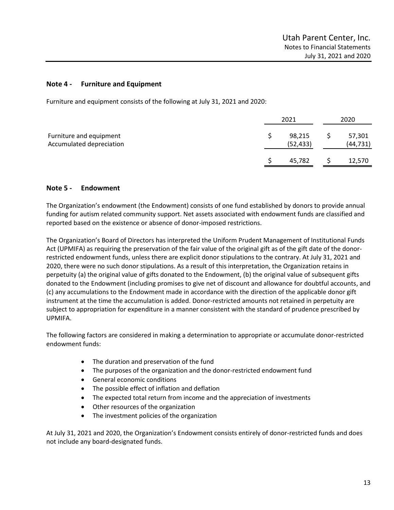### **Note 4 - Furniture and Equipment**

Furniture and equipment consists of the following at July 31, 2021 and 2020:

|                                                     | 2021                | 2020                |  |
|-----------------------------------------------------|---------------------|---------------------|--|
| Furniture and equipment<br>Accumulated depreciation | 98,215<br>(52, 433) | 57,301<br>(44, 731) |  |
|                                                     | 45,782              | 12,570              |  |

### **Note 5 - Endowment**

The Organization's endowment (the Endowment) consists of one fund established by donors to provide annual funding for autism related community support. Net assets associated with endowment funds are classified and reported based on the existence or absence of donor-imposed restrictions.

The Organization's Board of Directors has interpreted the Uniform Prudent Management of Institutional Funds Act (UPMIFA) as requiring the preservation of the fair value of the original gift as of the gift date of the donorrestricted endowment funds, unless there are explicit donor stipulations to the contrary. At July 31, 2021 and 2020, there were no such donor stipulations. As a result of this interpretation, the Organization retains in perpetuity (a) the original value of gifts donated to the Endowment, (b) the original value of subsequent gifts donated to the Endowment (including promises to give net of discount and allowance for doubtful accounts, and (c) any accumulations to the Endowment made in accordance with the direction of the applicable donor gift instrument at the time the accumulation is added. Donor‐restricted amounts not retained in perpetuity are subject to appropriation for expenditure in a manner consistent with the standard of prudence prescribed by UPMIFA.

The following factors are considered in making a determination to appropriate or accumulate donor‐restricted endowment funds:

- The duration and preservation of the fund
- The purposes of the organization and the donor-restricted endowment fund
- General economic conditions
- The possible effect of inflation and deflation
- The expected total return from income and the appreciation of investments
- Other resources of the organization
- The investment policies of the organization

At July 31, 2021 and 2020, the Organization's Endowment consists entirely of donor-restricted funds and does not include any board-designated funds.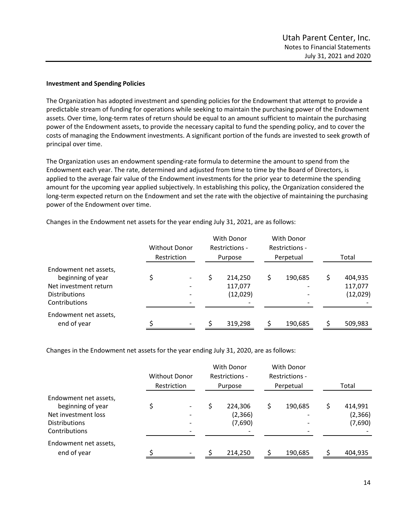### **Investment and Spending Policies**

|                                                                                                                                                                                                                                                                                                                                                                                                                                                                                                                                                                                                         |                                     |    |                                         |    | Notes to Financial Statements             | July 31, 2021 and 2020               |
|---------------------------------------------------------------------------------------------------------------------------------------------------------------------------------------------------------------------------------------------------------------------------------------------------------------------------------------------------------------------------------------------------------------------------------------------------------------------------------------------------------------------------------------------------------------------------------------------------------|-------------------------------------|----|-----------------------------------------|----|-------------------------------------------|--------------------------------------|
| <b>Investment and Spending Policies</b>                                                                                                                                                                                                                                                                                                                                                                                                                                                                                                                                                                 |                                     |    |                                         |    |                                           |                                      |
| The Organization has adopted investment and spending policies for the Endowment that attempt to provide a<br>predictable stream of funding for operations while seeking to maintain the purchasing power of the Endowment<br>assets. Over time, long-term rates of return should be equal to an amount sufficient to maintain the purchasing<br>power of the Endowment assets, to provide the necessary capital to fund the spending policy, and to cover the<br>costs of managing the Endowment investments. A significant portion of the funds are invested to seek growth of<br>principal over time. |                                     |    |                                         |    |                                           |                                      |
| The Organization uses an endowment spending-rate formula to determine the amount to spend from the<br>Endowment each year. The rate, determined and adjusted from time to time by the Board of Directors, is<br>applied to the average fair value of the Endowment investments for the prior year to determine the spending<br>amount for the upcoming year applied subjectively. In establishing this policy, the Organization considered the<br>long-term expected return on the Endowment and set the rate with the objective of maintaining the purchasing<br>power of the Endowment over time.     |                                     |    |                                         |    |                                           |                                      |
| Changes in the Endowment net assets for the year ending July 31, 2021, are as follows:                                                                                                                                                                                                                                                                                                                                                                                                                                                                                                                  |                                     |    |                                         |    |                                           |                                      |
|                                                                                                                                                                                                                                                                                                                                                                                                                                                                                                                                                                                                         | <b>Without Donor</b><br>Restriction |    | With Donor<br>Restrictions -<br>Purpose |    | With Donor<br>Restrictions -<br>Perpetual | Total                                |
| Endowment net assets,<br>beginning of year<br>Net investment return<br><b>Distributions</b><br>Contributions                                                                                                                                                                                                                                                                                                                                                                                                                                                                                            | \$                                  | \$ | 214,250<br>117,077<br>(12,029)          | \$ | 190,685                                   | \$<br>404,935<br>117,077<br>(12,029) |
| Endowment net assets,<br>end of year                                                                                                                                                                                                                                                                                                                                                                                                                                                                                                                                                                    | \$                                  | \$ | 319,298                                 | Ş  | 190,685                                   | \$<br>509,983                        |
| Changes in the Endowment net assets for the year ending July 31, 2020, are as follows:                                                                                                                                                                                                                                                                                                                                                                                                                                                                                                                  |                                     |    |                                         |    |                                           |                                      |
|                                                                                                                                                                                                                                                                                                                                                                                                                                                                                                                                                                                                         | <b>Without Donor</b><br>Restriction |    | With Donor<br>Restrictions -<br>Purpose |    | With Donor<br>Restrictions -<br>Perpetual | Total                                |
| Endowment net assets,                                                                                                                                                                                                                                                                                                                                                                                                                                                                                                                                                                                   |                                     |    |                                         |    |                                           |                                      |

|                                                                                                                                |                                     |    | Changes in the Endowment net assets for the year ending July 31, 2021, are as follows: |                                           |                                      |
|--------------------------------------------------------------------------------------------------------------------------------|-------------------------------------|----|----------------------------------------------------------------------------------------|-------------------------------------------|--------------------------------------|
|                                                                                                                                | Without Donor<br>Restriction        |    | With Donor<br>Restrictions -<br>Purpose                                                | With Donor<br>Restrictions -<br>Perpetual | Total                                |
| Endowment net assets,<br>beginning of year<br>Net investment return<br><b>Distributions</b><br>Contributions                   | \$                                  | \$ | 214,250<br>117,077<br>(12,029)                                                         | \$<br>190,685                             | \$<br>404,935<br>117,077<br>(12,029) |
|                                                                                                                                |                                     |    |                                                                                        |                                           |                                      |
| Endowment net assets,<br>end of year<br>Changes in the Endowment net assets for the year ending July 31, 2020, are as follows: | \$                                  | \$ | 319,298<br>With Donor                                                                  | \$<br>190,685<br>With Donor               | \$<br>509,983                        |
|                                                                                                                                | <b>Without Donor</b><br>Restriction |    | Restrictions -<br>Purpose                                                              | Restrictions -<br>Perpetual               | Total                                |
| Endowment net assets,<br>beginning of year<br>Net investment loss<br><b>Distributions</b><br>Contributions                     | \$                                  | \$ | 224,306<br>(2,366)<br>(7,690)                                                          | \$<br>190,685                             | \$<br>414,991<br>(2,366)<br>(7,690)  |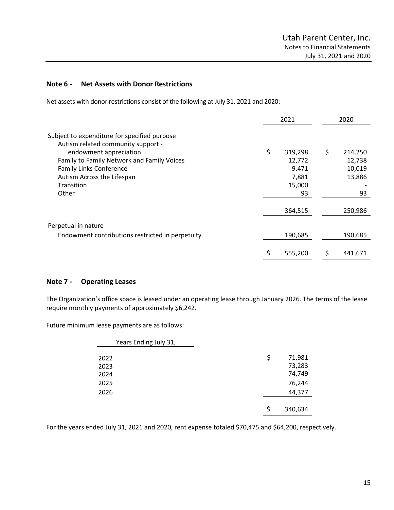### **Note 6 - Net Assets with Donor Restrictions**

Net assets with donor restrictions consist of the following at July 31, 2021 and 2020:

|                                                                                    | 2021          | 2020          |
|------------------------------------------------------------------------------------|---------------|---------------|
| Subject to expenditure for specified purpose<br>Autism related community support - |               |               |
| endowment appreciation                                                             | \$<br>319,298 | \$<br>214,250 |
| Family to Family Network and Family Voices                                         | 12,772        | 12,738        |
| <b>Family Links Conference</b>                                                     | 9,471         | 10,019        |
| Autism Across the Lifespan                                                         | 7,881         | 13,886        |
| Transition                                                                         | 15,000        |               |
| Other                                                                              | 93            | 93            |
|                                                                                    | 364,515       | 250,986       |
| Perpetual in nature                                                                |               |               |
| Endowment contributions restricted in perpetuity                                   | 190,685       | 190,685       |
|                                                                                    | 555,200       | 441.671       |

# **Note 7 - Operating Leases**

The Organization's office space is leased under an operating lease through January 2026. The terms of the lease require monthly payments of approximately \$6,242.

Future minimum lease payments are as follows:

| Years Ending July 31, |    |         |  |
|-----------------------|----|---------|--|
| 2022                  | \$ | 71,981  |  |
| 2023                  |    | 73,283  |  |
| 2024                  |    | 74,749  |  |
| 2025                  |    | 76,244  |  |
| 2026                  |    | 44,377  |  |
|                       | Ś  | 340,634 |  |

For the years ended July 31, 2021 and 2020, rent expense totaled \$70,475 and \$64,200, respectively.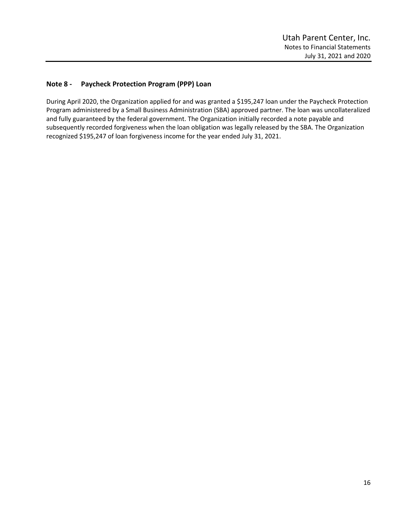# **Note 8 - Paycheck Protection Program (PPP) Loan**

During April 2020, the Organization applied for and was granted a \$195,247 loan under the Paycheck Protection Program administered by a Small Business Administration (SBA) approved partner. The loan was uncollateralized and fully guaranteed by the federal government. The Organization initially recorded a note payable and subsequently recorded forgiveness when the loan obligation was legally released by the SBA. The Organization recognized \$195,247 of loan forgiveness income for the year ended July 31, 2021.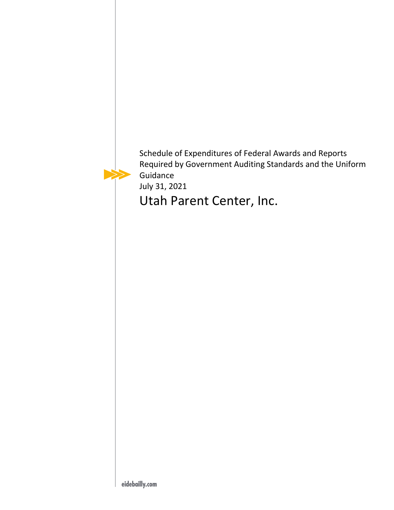Schedule of Expenditures of Federal Awards and Reports Required by Government Auditing Standards and the Uniform Guidance July 31, 2021

<span id="page-18-0"></span>Utah Parent Center, Inc.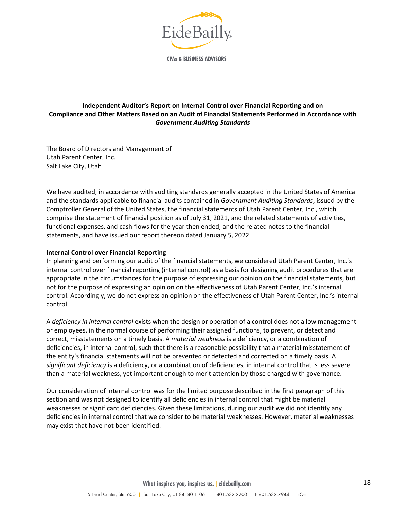

**CPAs & BUSINESS ADVISORS** 

# <span id="page-19-0"></span>**Independent Auditor's Report on Internal Control over Financial Reporting and on Compliance and Other Matters Based on an Audit of Financial Statements Performed in Accordance with** *Government Auditing Standards*

The Board of Directors and Management of Utah Parent Center, Inc. Salt Lake City, Utah

We have audited, in accordance with auditing standards generally accepted in the United States of America and the standards applicable to financial audits contained in *Government Auditing Standards*, issued by the Comptroller General of the United States, the financial statements of Utah Parent Center, Inc., which comprise the statement of financial position as of July 31, 2021, and the related statements of activities, functional expenses, and cash flows for the year then ended, and the related notes to the financial statements, and have issued our report thereon dated January 5, 2022.

### **Internal Control over Financial Reporting**

In planning and performing our audit of the financial statements, we considered Utah Parent Center, Inc.'s internal control over financial reporting (internal control) as a basis for designing audit procedures that are appropriate in the circumstances for the purpose of expressing our opinion on the financial statements, but not for the purpose of expressing an opinion on the effectiveness of Utah Parent Center, Inc.'s internal control. Accordingly, we do not express an opinion on the effectiveness of Utah Parent Center, Inc.'s internal control.

A *deficiency in internal control* exists when the design or operation of a control does not allow management or employees, in the normal course of performing their assigned functions, to prevent, or detect and correct, misstatements on a timely basis. A *material weakness* is a deficiency, or a combination of deficiencies, in internal control, such that there is a reasonable possibility that a material misstatement of the entity's financial statements will not be prevented or detected and corrected on a timely basis. A *significant deficiency* is a deficiency, or a combination of deficiencies, in internal control that is less severe than a material weakness, yet important enough to merit attention by those charged with governance.

Our consideration of internal control was for the limited purpose described in the first paragraph of this section and was not designed to identify all deficiencies in internal control that might be material weaknesses or significant deficiencies. Given these limitations, during our audit we did not identify any deficiencies in internal control that we consider to be material weaknesses. However, material weaknesses may exist that have not been identified.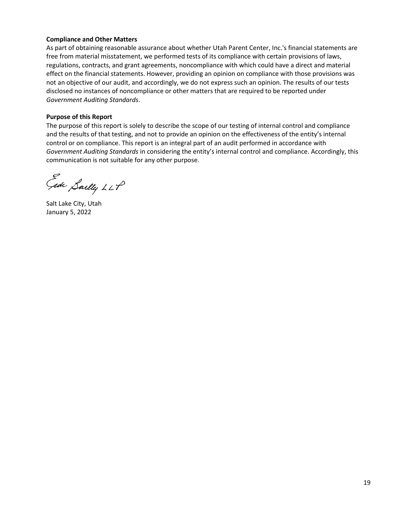### **Compliance and Other Matters**

As part of obtaining reasonable assurance about whether Utah Parent Center, Inc.'s financial statements are free from material misstatement, we performed tests of its compliance with certain provisions of laws, regulations, contracts, and grant agreements, noncompliance with which could have a direct and material effect on the financial statements. However, providing an opinion on compliance with those provisions was not an objective of our audit, and accordingly, we do not express such an opinion. The results of our tests disclosed no instances of noncompliance or other matters that are required to be reported under *Government Auditing Standards*.

### **Purpose of this Report**

The purpose of this report is solely to describe the scope of our testing of internal control and compliance and the results of that testing, and not to provide an opinion on the effectiveness of the entity's internal control or on compliance. This report is an integral part of an audit performed in accordance with *Government Auditing Standards* in considering the entity's internal control and compliance. Accordingly, this communication is not suitable for any other purpose.

Eader Sailly LLP

Salt Lake City, Utah January 5, 2022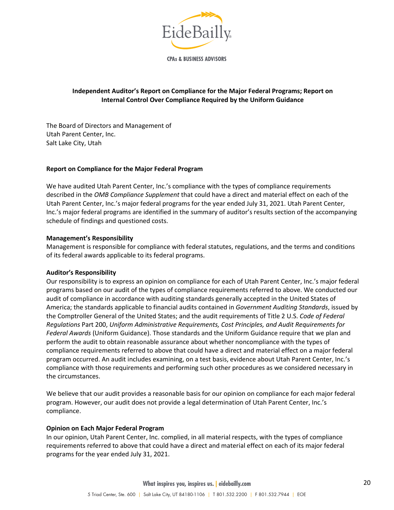

**CPAs & BUSINESS ADVISORS** 

# <span id="page-21-0"></span>**Independent Auditor's Report on Compliance for the Major Federal Programs; Report on Internal Control Over Compliance Required by the Uniform Guidance**

The Board of Directors and Management of Utah Parent Center, Inc. Salt Lake City, Utah

#### **Report on Compliance for the Major Federal Program**

We have audited Utah Parent Center, Inc.'s compliance with the types of compliance requirements described in the *OMB Compliance Supplement* that could have a direct and material effect on each of the Utah Parent Center, Inc.'s major federal programs for the year ended July 31, 2021. Utah Parent Center, Inc.'s major federal programs are identified in the summary of auditor's results section of the accompanying schedule of findings and questioned costs.

#### **Management's Responsibility**

Management is responsible for compliance with federal statutes, regulations, and the terms and conditions of its federal awards applicable to its federal programs.

### **Auditor's Responsibility**

Our responsibility is to express an opinion on compliance for each of Utah Parent Center, Inc.'s major federal programs based on our audit of the types of compliance requirements referred to above. We conducted our audit of compliance in accordance with auditing standards generally accepted in the United States of America; the standards applicable to financial audits contained in *Government Auditing Standards*, issued by the Comptroller General of the United States; and the audit requirements of Title 2 U.S. *Code of Federal Regulations* Part 200, *Uniform Administrative Requirements, Cost Principles, and Audit Requirements for Federal Awards* (Uniform Guidance). Those standards and the Uniform Guidance require that we plan and perform the audit to obtain reasonable assurance about whether noncompliance with the types of compliance requirements referred to above that could have a direct and material effect on a major federal program occurred. An audit includes examining, on a test basis, evidence about Utah Parent Center, Inc.'s compliance with those requirements and performing such other procedures as we considered necessary in the circumstances.

We believe that our audit provides a reasonable basis for our opinion on compliance for each major federal program. However, our audit does not provide a legal determination of Utah Parent Center, Inc.'s compliance.

#### **Opinion on Each Major Federal Program**

In our opinion, Utah Parent Center, Inc. complied, in all material respects, with the types of compliance requirements referred to above that could have a direct and material effect on each of its major federal programs for the year ended July 31, 2021.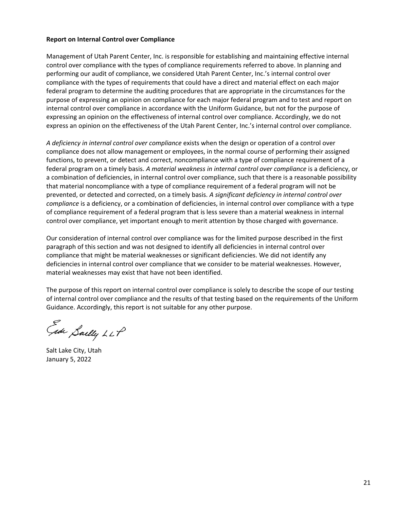### **Report on Internal Control over Compliance**

Management of Utah Parent Center, Inc. is responsible for establishing and maintaining effective internal control over compliance with the types of compliance requirements referred to above. In planning and performing our audit of compliance, we considered Utah Parent Center, Inc.'s internal control over compliance with the types of requirements that could have a direct and material effect on each major federal program to determine the auditing procedures that are appropriate in the circumstances for the purpose of expressing an opinion on compliance for each major federal program and to test and report on internal control over compliance in accordance with the Uniform Guidance, but not for the purpose of expressing an opinion on the effectiveness of internal control over compliance. Accordingly, we do not express an opinion on the effectiveness of the Utah Parent Center, Inc.'s internal control over compliance.

*A deficiency in internal control over compliance* exists when the design or operation of a control over compliance does not allow management or employees, in the normal course of performing their assigned functions, to prevent, or detect and correct, noncompliance with a type of compliance requirement of a federal program on a timely basis. *A material weakness in internal control over compliance* is a deficiency, or a combination of deficiencies, in internal control over compliance, such that there is a reasonable possibility that material noncompliance with a type of compliance requirement of a federal program will not be prevented, or detected and corrected, on a timely basis. *A significant deficiency in internal control over compliance* is a deficiency, or a combination of deficiencies, in internal control over compliance with a type of compliance requirement of a federal program that is less severe than a material weakness in internal control over compliance, yet important enough to merit attention by those charged with governance.

Our consideration of internal control over compliance was for the limited purpose described in the first paragraph of this section and was not designed to identify all deficiencies in internal control over compliance that might be material weaknesses or significant deficiencies. We did not identify any deficiencies in internal control over compliance that we consider to be material weaknesses. However, material weaknesses may exist that have not been identified.

The purpose of this report on internal control over compliance is solely to describe the scope of our testing of internal control over compliance and the results of that testing based on the requirements of the Uniform Guidance. Accordingly, this report is not suitable for any other purpose.

Gide Sailly LLP

Salt Lake City, Utah January 5, 2022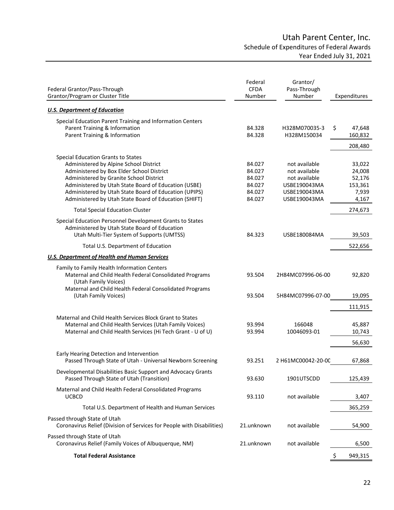<span id="page-23-0"></span>

| Federal Grantor/Pass-Through<br>Grantor/Program or Cluster Title                                                               | Federal<br><b>CFDA</b><br>Number | Grantor/<br>Pass-Through<br>Number | Expenditures            |
|--------------------------------------------------------------------------------------------------------------------------------|----------------------------------|------------------------------------|-------------------------|
| <b>U.S. Department of Education</b>                                                                                            |                                  |                                    |                         |
| Special Education Parent Training and Information Centers<br>Parent Training & Information<br>Parent Training & Information    | 84.328<br>84.328                 | H328M070035-3<br>H328M150034       | \$<br>47,648<br>160,832 |
|                                                                                                                                |                                  |                                    | 208,480                 |
| Special Education Grants to States                                                                                             |                                  |                                    |                         |
| Administered by Alpine School District                                                                                         | 84.027                           | not available                      | 33,022                  |
| Administered by Box Elder School District                                                                                      | 84.027                           | not available                      | 24,008                  |
| Administered by Granite School District                                                                                        | 84.027                           | not available                      | 52,176                  |
| Administered by Utah State Board of Education (USBE)                                                                           | 84.027                           | USBE190043MA                       | 153,361                 |
| Administered by Utah State Board of Education (UPIPS)                                                                          | 84.027                           | USBE190043MA                       | 7,939                   |
| Administered by Utah State Board of Education (SHIFT)                                                                          | 84.027                           | USBE190043MA                       | 4,167                   |
| <b>Total Special Education Cluster</b>                                                                                         |                                  |                                    | 274,673                 |
| Special Education Personnel Development Grants to States<br>Administered by Utah State Board of Education                      |                                  |                                    |                         |
| Utah Multi-Tier System of Supports (UMTSS)                                                                                     | 84.323                           | USBE180084MA                       | 39,503                  |
| Total U.S. Department of Education                                                                                             |                                  |                                    | 522,656                 |
| <b>U.S. Department of Health and Human Services</b>                                                                            |                                  |                                    |                         |
| Family to Family Health Information Centers<br>Maternal and Child Health Federal Consolidated Programs<br>(Utah Family Voices) | 93.504                           | 2H84MC07996-06-00                  | 92,820                  |
| Maternal and Child Health Federal Consolidated Programs<br>(Utah Family Voices)                                                | 93.504                           | 5H84MC07996-07-00                  | 19,095                  |
|                                                                                                                                |                                  |                                    | 111,915                 |
| Maternal and Child Health Services Block Grant to States                                                                       |                                  |                                    |                         |
| Maternal and Child Health Services (Utah Family Voices)                                                                        | 93.994                           | 166048                             | 45,887                  |
| Maternal and Child Health Services (Hi Tech Grant - U of U)                                                                    | 93.994                           | 10046093-01                        | 10,743                  |
|                                                                                                                                |                                  |                                    | 56,630                  |
| Early Hearing Detection and Intervention                                                                                       |                                  |                                    |                         |
| Passed Through State of Utah - Universal Newborn Screening                                                                     | 93.251                           | 2 H61MC00042-20-00                 | 67,868                  |
| Developmental Disabilities Basic Support and Advocacy Grants<br>Passed Through State of Utah (Transition)                      | 93.630                           | 1901UTSCDD                         | 125,439                 |
| Maternal and Child Health Federal Consolidated Programs<br><b>UCBCD</b>                                                        | 93.110                           | not available                      | 3,407                   |
| Total U.S. Department of Health and Human Services                                                                             |                                  |                                    | 365,259                 |
| Passed through State of Utah<br>Coronavirus Relief (Division of Services for People with Disabilities)                         | 21.unknown                       | not available                      | 54,900                  |
| Passed through State of Utah<br>Coronavirus Relief (Family Voices of Albuquerque, NM)                                          | 21.unknown                       | not available                      | 6,500                   |
| <b>Total Federal Assistance</b>                                                                                                |                                  |                                    | 949,315<br>Ş            |
|                                                                                                                                |                                  |                                    |                         |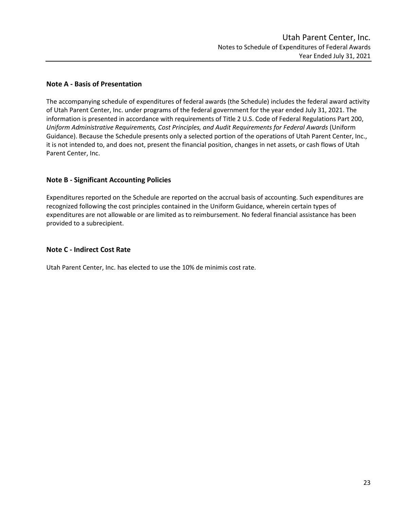# <span id="page-24-0"></span>**Note A - Basis of Presentation**

The accompanying schedule of expenditures of federal awards (the Schedule) includes the federal award activity of Utah Parent Center, Inc. under programs of the federal government for the year ended July 31, 2021. The information is presented in accordance with requirements of Title 2 U.S. Code of Federal Regulations Part 200, *Uniform Administrative Requirements, Cost Principles, and Audit Requirements for Federal Awards* (Uniform Guidance). Because the Schedule presents only a selected portion of the operations of Utah Parent Center, Inc., it is not intended to, and does not, present the financial position, changes in net assets, or cash flows of Utah Parent Center, Inc.

# **Note B - Significant Accounting Policies**

Expenditures reported on the Schedule are reported on the accrual basis of accounting. Such expenditures are recognized following the cost principles contained in the Uniform Guidance, wherein certain types of expenditures are not allowable or are limited as to reimbursement. No federal financial assistance has been provided to a subrecipient.

# **Note C - Indirect Cost Rate**

Utah Parent Center, Inc. has elected to use the 10% de minimis cost rate.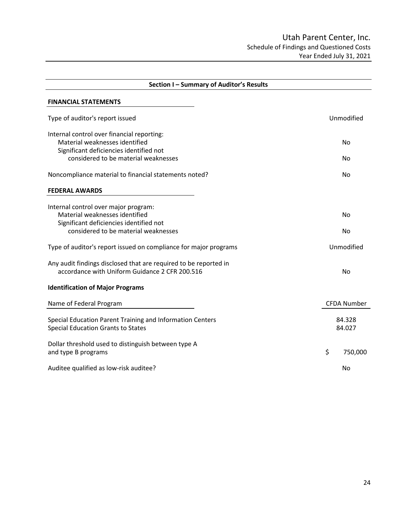<span id="page-25-0"></span>

| Section I - Summary of Auditor's Results                                                                           |                    |  |  |  |
|--------------------------------------------------------------------------------------------------------------------|--------------------|--|--|--|
| <b>FINANCIAL STATEMENTS</b>                                                                                        |                    |  |  |  |
| Type of auditor's report issued                                                                                    | Unmodified         |  |  |  |
| Internal control over financial reporting:<br>Material weaknesses identified                                       | No                 |  |  |  |
| Significant deficiencies identified not<br>considered to be material weaknesses                                    | No                 |  |  |  |
| Noncompliance material to financial statements noted?                                                              | No                 |  |  |  |
| <b>FEDERAL AWARDS</b>                                                                                              |                    |  |  |  |
| Internal control over major program:<br>Material weaknesses identified<br>Significant deficiencies identified not  | No                 |  |  |  |
| considered to be material weaknesses                                                                               | No                 |  |  |  |
| Type of auditor's report issued on compliance for major programs                                                   | Unmodified         |  |  |  |
| Any audit findings disclosed that are required to be reported in<br>accordance with Uniform Guidance 2 CFR 200.516 | No                 |  |  |  |
| <b>Identification of Major Programs</b>                                                                            |                    |  |  |  |
| Name of Federal Program                                                                                            | <b>CFDA Number</b> |  |  |  |
| Special Education Parent Training and Information Centers<br><b>Special Education Grants to States</b>             | 84.328<br>84.027   |  |  |  |
| Dollar threshold used to distinguish between type A<br>and type B programs                                         | \$<br>750,000      |  |  |  |
| Auditee qualified as low-risk auditee?                                                                             | No                 |  |  |  |